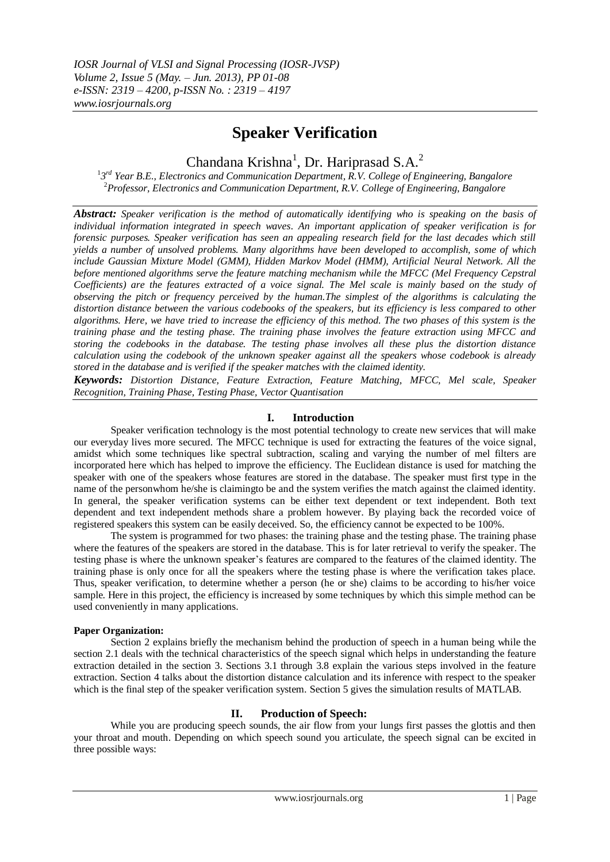# **Speaker Verification**

Chandana Krishna<sup>1</sup>, Dr. Hariprasad S.A.<sup>2</sup>

<sup>1</sup>3<sup>rd</sup> Year B.E., Electronics and Communication Department, R.V. College of Engineering, Bangalore <sup>2</sup>*Professor, Electronics and Communication Department, R.V. College of Engineering, Bangalore*

*Abstract: Speaker verification is the method of automatically identifying who is speaking on the basis of individual information integrated in speech waves. An important application of speaker verification is for forensic purposes. Speaker verification has seen an appealing research field for the last decades which still yields a number of unsolved problems. Many algorithms have been developed to accomplish, some of which include Gaussian Mixture Model (GMM), Hidden Markov Model (HMM), Artificial Neural Network. All the before mentioned algorithms serve the feature matching mechanism while the MFCC (Mel Frequency Cepstral Coefficients) are the features extracted of a voice signal. The Mel scale is mainly based on the study of observing the pitch or frequency perceived by the human.The simplest of the algorithms is calculating the distortion distance between the various codebooks of the speakers, but its efficiency is less compared to other algorithms. Here, we have tried to increase the efficiency of this method. The two phases of this system is the training phase and the testing phase. The training phase involves the feature extraction using MFCC and storing the codebooks in the database. The testing phase involves all these plus the distortion distance calculation using the codebook of the unknown speaker against all the speakers whose codebook is already stored in the database and is verified if the speaker matches with the claimed identity.* 

*Keywords: Distortion Distance, Feature Extraction, Feature Matching, MFCC, Mel scale, Speaker Recognition, Training Phase, Testing Phase, Vector Quantisation*

# **I. Introduction**

Speaker verification technology is the most potential technology to create new services that will make our everyday lives more secured. The MFCC technique is used for extracting the features of the voice signal, amidst which some techniques like spectral subtraction, scaling and varying the number of mel filters are incorporated here which has helped to improve the efficiency. The Euclidean distance is used for matching the speaker with one of the speakers whose features are stored in the database. The speaker must first type in the name of the personwhom he/she is claimingto be and the system verifies the match against the claimed identity. In general, the speaker verification systems can be either text dependent or text independent. Both text dependent and text independent methods share a problem however. By playing back the recorded voice of registered speakers this system can be easily deceived. So, the efficiency cannot be expected to be 100%.

The system is programmed for two phases: the training phase and the testing phase. The training phase where the features of the speakers are stored in the database. This is for later retrieval to verify the speaker. The testing phase is where the unknown speaker"s features are compared to the features of the claimed identity. The training phase is only once for all the speakers where the testing phase is where the verification takes place. Thus, speaker verification, to determine whether a person (he or she) claims to be according to his/her voice sample. Here in this project, the efficiency is increased by some techniques by which this simple method can be used conveniently in many applications.

# **Paper Organization:**

Section 2 explains briefly the mechanism behind the production of speech in a human being while the section 2.1 deals with the technical characteristics of the speech signal which helps in understanding the feature extraction detailed in the section 3. Sections 3.1 through 3.8 explain the various steps involved in the feature extraction. Section 4 talks about the distortion distance calculation and its inference with respect to the speaker which is the final step of the speaker verification system. Section 5 gives the simulation results of MATLAB.

# **II. Production of Speech:**

While you are producing speech sounds, the air flow from your lungs first passes the glottis and then your throat and mouth. Depending on which speech sound you articulate, the speech signal can be excited in three possible ways: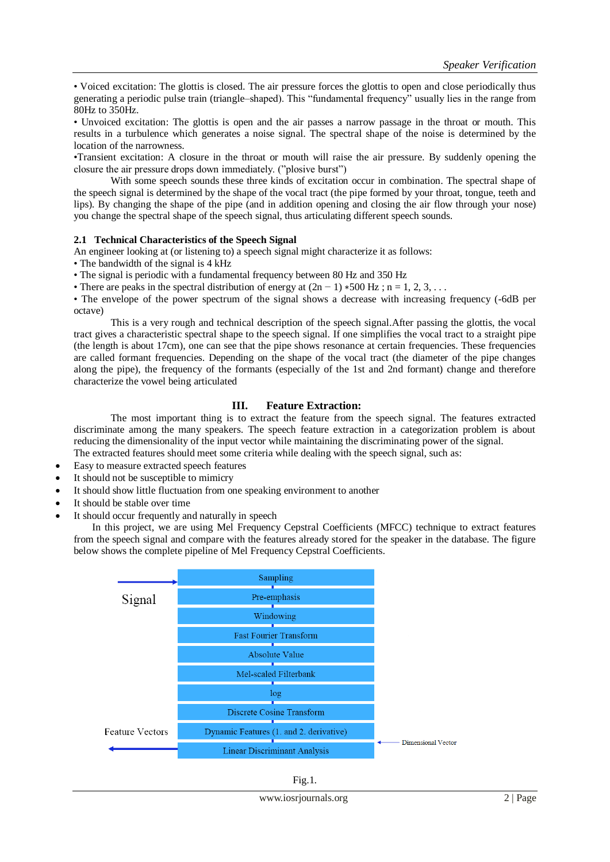• Voiced excitation: The glottis is closed. The air pressure forces the glottis to open and close periodically thus generating a periodic pulse train (triangle–shaped). This "fundamental frequency" usually lies in the range from 80Hz to 350Hz.

• Unvoiced excitation: The glottis is open and the air passes a narrow passage in the throat or mouth. This results in a turbulence which generates a noise signal. The spectral shape of the noise is determined by the location of the narrowness.

•Transient excitation: A closure in the throat or mouth will raise the air pressure. By suddenly opening the closure the air pressure drops down immediately. ("plosive burst")

With some speech sounds these three kinds of excitation occur in combination. The spectral shape of the speech signal is determined by the shape of the vocal tract (the pipe formed by your throat, tongue, teeth and lips). By changing the shape of the pipe (and in addition opening and closing the air flow through your nose) you change the spectral shape of the speech signal, thus articulating different speech sounds.

## **2.1 Technical Characteristics of the Speech Signal**

An engineer looking at (or listening to) a speech signal might characterize it as follows:

• The bandwidth of the signal is 4 kHz

• The signal is periodic with a fundamental frequency between 80 Hz and 350 Hz

• There are peaks in the spectral distribution of energy at  $(2n - 1)$  ∗500 Hz; n = 1, 2, 3, ...

• The envelope of the power spectrum of the signal shows a decrease with increasing frequency (-6dB per octave)

This is a very rough and technical description of the speech signal.After passing the glottis, the vocal tract gives a characteristic spectral shape to the speech signal. If one simplifies the vocal tract to a straight pipe (the length is about 17cm), one can see that the pipe shows resonance at certain frequencies. These frequencies are called formant frequencies. Depending on the shape of the vocal tract (the diameter of the pipe changes along the pipe), the frequency of the formants (especially of the 1st and 2nd formant) change and therefore characterize the vowel being articulated

# **III. Feature Extraction:**

The most important thing is to extract the feature from the speech signal. The features extracted discriminate among the many speakers. The speech feature extraction in a categorization problem is about reducing the dimensionality of the input vector while maintaining the discriminating power of the signal. The extracted features should meet some criteria while dealing with the speech signal, such as:

- Easy to measure extracted speech features
- It should not be susceptible to mimicry
- It should show little fluctuation from one speaking environment to another
- It should be stable over time
- It should occur frequently and naturally in speech

In this project, we are using Mel Frequency Cepstral Coefficients (MFCC) technique to extract features from the speech signal and compare with the features already stored for the speaker in the database. The figure below shows the complete pipeline of Mel Frequency Cepstral Coefficients.



| ٧ |
|---|
|---|

www.iosrjournals.org 2 | Page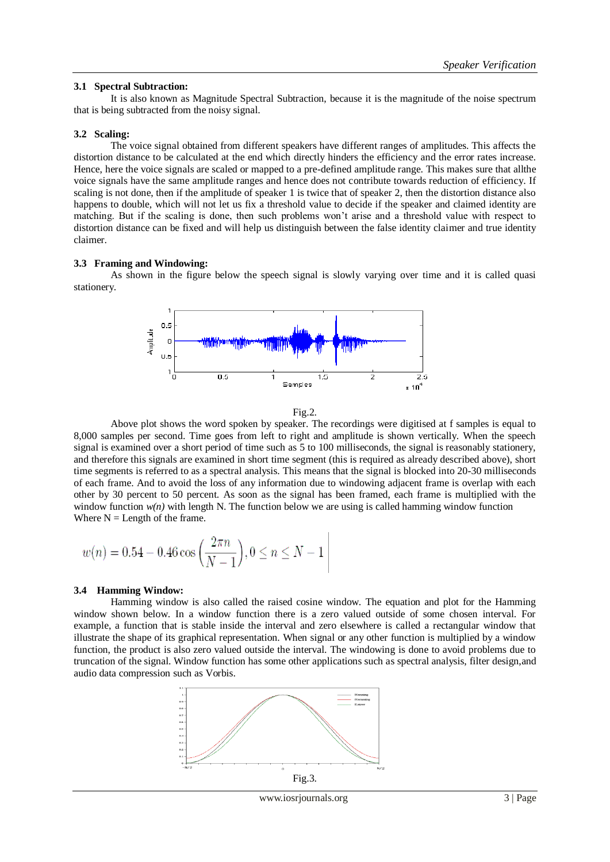# **3.1 Spectral Subtraction:**

It is also known as Magnitude Spectral Subtraction, because it is the magnitude of the noise spectrum that is being subtracted from the noisy signal.

# **3.2 Scaling:**

The voice signal obtained from different speakers have different ranges of amplitudes. This affects the distortion distance to be calculated at the end which directly hinders the efficiency and the error rates increase. Hence, here the voice signals are scaled or mapped to a pre-defined amplitude range. This makes sure that allthe voice signals have the same amplitude ranges and hence does not contribute towards reduction of efficiency. If scaling is not done, then if the amplitude of speaker 1 is twice that of speaker 2, then the distortion distance also happens to double, which will not let us fix a threshold value to decide if the speaker and claimed identity are matching. But if the scaling is done, then such problems won"t arise and a threshold value with respect to distortion distance can be fixed and will help us distinguish between the false identity claimer and true identity claimer.

# **3.3 Framing and Windowing:**

As shown in the figure below the speech signal is slowly varying over time and it is called quasi stationery.



$$
Fig. 2.
$$

Above plot shows the word spoken by speaker. The recordings were digitised at f samples is equal to 8,000 samples per second. Time goes from left to right and amplitude is shown vertically. When the speech signal is examined over a short period of time such as 5 to 100 milliseconds, the signal is reasonably stationery, and therefore this signals are examined in short time segment (this is required as already described above), short time segments is referred to as a spectral analysis. This means that the signal is blocked into 20-30 milliseconds of each frame. And to avoid the loss of any information due to windowing adjacent frame is overlap with each other by 30 percent to 50 percent. As soon as the signal has been framed, each frame is multiplied with the window function  $w(n)$  with length N. The function below we are using is called hamming window function Where  $N =$  Length of the frame.

$$
w(n) = 0.54 - 0.46 \cos\left(\frac{2\pi n}{N-1}\right), 0 \le n \le N-1
$$

## **3.4 Hamming Window:**

Hamming window is also called the raised cosine window. The equation and plot for the Hamming window shown below. In a window function there is a zero valued outside of some chosen interval. For example, a function that is stable inside the interval and zero elsewhere is called a rectangular window that illustrate the shape of its graphical representation. When signal or any other function is multiplied by a window function, the product is also zero valued outside the interval. The windowing is done to avoid problems due to truncation of the signal. Window function has some other applications such as spectral analysis, filter design,and audio data compression such as Vorbis.



www.iosrjournals.org 3 | Page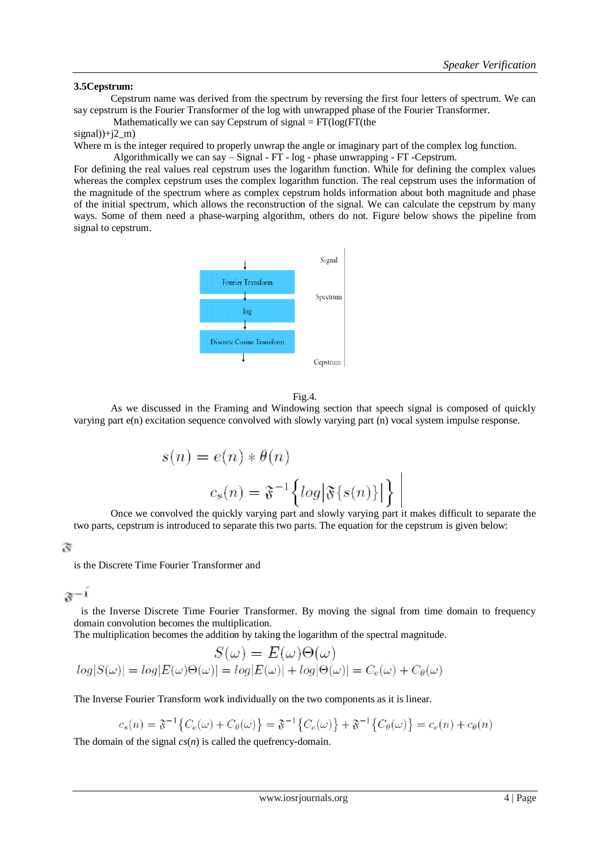# **3.5Cepstrum:**

Cepstrum name was derived from the spectrum by reversing the first four letters of spectrum. We can say cepstrum is the Fourier Transformer of the log with unwrapped phase of the Fourier Transformer.

Mathematically we can say Cepstrum of signal  $= FT(log(FT(the$ 

# signal $)$ +j2 m)

Where m is the integer required to properly unwrap the angle or imaginary part of the complex log function.

Algorithmically we can say – Signal - FT - log - phase unwrapping - FT -Cepstrum.

For defining the real values real cepstrum uses the logarithm function. While for defining the complex values whereas the complex cepstrum uses the complex logarithm function. The real cepstrum uses the information of the magnitude of the spectrum where as complex cepstrum holds information about both magnitude and phase of the initial spectrum, which allows the reconstruction of the signal. We can calculate the cepstrum by many ways. Some of them need a phase-warping algorithm, others do not. Figure below shows the pipeline from signal to cepstrum.



#### Fig.4.

As we discussed in the Framing and Windowing section that speech signal is composed of quickly varying part e(n) excitation sequence convolved with slowly varying part (n) vocal system impulse response.

$$
s(n) = e(n) * \theta(n)
$$

$$
c_s(n) = \mathfrak{F}^{-1}\left\{ \log |\mathfrak{F}\{s(n)\}| \right\} \Big|
$$

Once we convolved the quickly varying part and slowly varying part it makes difficult to separate the two parts, cepstrum is introduced to separate this two parts. The equation for the cepstrum is given below:

 $\mathfrak{F}% _{0}$ 

is the Discrete Time Fourier Transformer and

$$
x^{-1}
$$

 is the Inverse Discrete Time Fourier Transformer. By moving the signal from time domain to frequency domain convolution becomes the multiplication.

The multiplication becomes the addition by taking the logarithm of the spectral magnitude.

$$
S(\omega) = E(\omega)\Theta(\omega)
$$
  

$$
log|S(\omega)| = log|E(\omega)\Theta(\omega)| = log|E(\omega)| + log|\Theta(\omega)| = C_e(\omega) + C_\theta(\omega)
$$

The Inverse Fourier Transform work individually on the two components as it is linear.

$$
c_s(n) = \mathfrak{F}^{-1}\big\{C_e(\omega) + C_\theta(\omega)\big\} = \mathfrak{F}^{-1}\big\{C_e(\omega)\big\} + \mathfrak{F}^{-1}\big\{C_\theta(\omega)\big\} = c_e(n) + c_\theta(n)
$$

The domain of the signal *cs*(*n*) is called the quefrency-domain.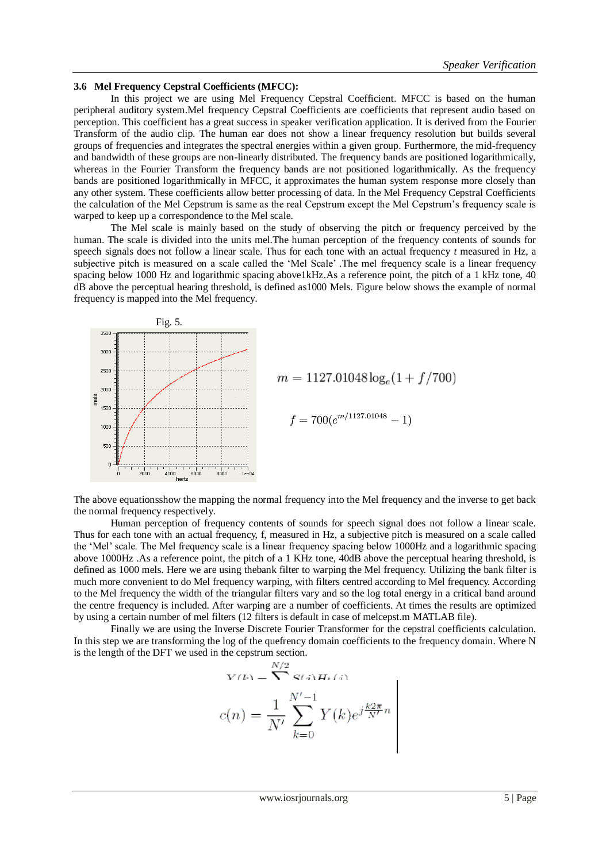## **3.6 Mel Frequency Cepstral Coefficients (MFCC):**

In this project we are using Mel Frequency Cepstral Coefficient. MFCC is based on the human peripheral auditory system.Mel frequency Cepstral Coefficients are coefficients that represent audio based on perception. This coefficient has a great success in speaker verification application. It is derived from the Fourier Transform of the audio clip. The human ear does not show a linear frequency resolution but builds several groups of frequencies and integrates the spectral energies within a given group. Furthermore, the mid-frequency and bandwidth of these groups are non-linearly distributed. The frequency bands are positioned logarithmically, whereas in the Fourier Transform the frequency bands are not positioned logarithmically. As the frequency bands are positioned logarithmically in MFCC, it approximates the human system response more closely than any other system. These coefficients allow better processing of data. In the Mel Frequency Cepstral Coefficients the calculation of the Mel Cepstrum is same as the real Cepstrum except the Mel Cepstrum"s frequency scale is warped to keep up a correspondence to the Mel scale.

The Mel scale is mainly based on the study of observing the pitch or frequency perceived by the human. The scale is divided into the units mel.The human perception of the frequency contents of sounds for speech signals does not follow a linear scale. Thus for each tone with an actual frequency *t* measured in Hz, a subjective pitch is measured on a scale called the 'Mel Scale' .The mel frequency scale is a linear frequency spacing below 1000 Hz and logarithmic spacing above1kHz.As a reference point, the pitch of a 1 kHz tone, 40 dB above the perceptual hearing threshold, is defined as1000 Mels. Figure below shows the example of normal frequency is mapped into the Mel frequency.



The above equationsshow the mapping the normal frequency into the Mel frequency and the inverse to get back the normal frequency respectively.

Human perception of frequency contents of sounds for speech signal does not follow a linear scale. Thus for each tone with an actual frequency, f, measured in Hz, a subjective pitch is measured on a scale called the "Mel" scale. The Mel frequency scale is a linear frequency spacing below 1000Hz and a logarithmic spacing above 1000Hz .As a reference point, the pitch of a 1 KHz tone, 40dB above the perceptual hearing threshold, is defined as 1000 mels. Here we are using thebank filter to warping the Mel frequency. Utilizing the bank filter is much more convenient to do Mel frequency warping, with filters centred according to Mel frequency. According to the Mel frequency the width of the triangular filters vary and so the log total energy in a critical band around the centre frequency is included. After warping are a number of coefficients. At times the results are optimized by using a certain number of mel filters (12 filters is default in case of melcepst.m MATLAB file).

Finally we are using the Inverse Discrete Fourier Transformer for the cepstral coefficients calculation. In this step we are transforming the log of the quefrency domain coefficients to the frequency domain. Where N is the length of the DFT we used in the cepstrum section.

$$
V^{(k)} = \sum_{N/2}^{N/2} S(i) H_k(i)
$$

$$
c(n) = \frac{1}{N'} \sum_{k=0}^{N'-1} Y(k) e^{j\frac{k2\pi}{N'}n}
$$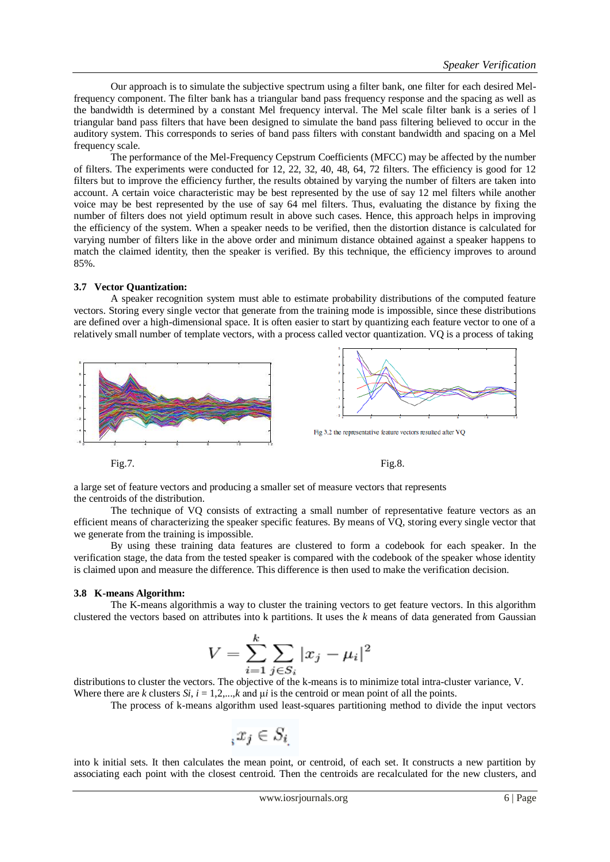Our approach is to simulate the subjective spectrum using a filter bank, one filter for each desired Melfrequency component. The filter bank has a triangular band pass frequency response and the spacing as well as the bandwidth is determined by a constant Mel frequency interval. The Mel scale filter bank is a series of l triangular band pass filters that have been designed to simulate the band pass filtering believed to occur in the auditory system. This corresponds to series of band pass filters with constant bandwidth and spacing on a Mel frequency scale.

The performance of the Mel-Frequency Cepstrum Coefficients (MFCC) may be affected by the number of filters. The experiments were conducted for 12, 22, 32, 40, 48, 64, 72 filters. The efficiency is good for 12 filters but to improve the efficiency further, the results obtained by varying the number of filters are taken into account. A certain voice characteristic may be best represented by the use of say 12 mel filters while another voice may be best represented by the use of say 64 mel filters. Thus, evaluating the distance by fixing the number of filters does not yield optimum result in above such cases. Hence, this approach helps in improving the efficiency of the system. When a speaker needs to be verified, then the distortion distance is calculated for varying number of filters like in the above order and minimum distance obtained against a speaker happens to match the claimed identity, then the speaker is verified. By this technique, the efficiency improves to around 85%.

## **3.7 Vector Quantization:**

A speaker recognition system must able to estimate probability distributions of the computed feature vectors. Storing every single vector that generate from the training mode is impossible, since these distributions are defined over a high-dimensional space. It is often easier to start by quantizing each feature vector to one of a relatively small number of template vectors, with a process called vector quantization. VQ is a process of taking



Fig.7. Fig.8.

a large set of feature vectors and producing a smaller set of measure vectors that represents the centroids of the distribution.

The technique of VQ consists of extracting a small number of representative feature vectors as an efficient means of characterizing the speaker specific features. By means of VQ, storing every single vector that we generate from the training is impossible.

By using these training data features are clustered to form a codebook for each speaker. In the verification stage, the data from the tested speaker is compared with the codebook of the speaker whose identity is claimed upon and measure the difference. This difference is then used to make the verification decision.

## **3.8 K-means Algorithm:**

The K-means algorithmis a way to cluster the training vectors to get feature vectors. In this algorithm clustered the vectors based on attributes into k partitions. It uses the *k* means of data generated from Gaussian

$$
V = \sum_{i=1}^{k} \sum_{j \in S_i} |x_j - \mu_i|^2
$$

distributions to cluster the vectors. The objective of the k-means is to minimize total intra-cluster variance, V. Where there are *k* clusters *Si*,  $i = 1, 2, \ldots, k$  and  $\mu i$  is the centroid or mean point of all the points.

The process of k-means algorithm used least-squares partitioning method to divide the input vectors

$$
_{i}x_{j}\in S_{i}
$$

into k initial sets. It then calculates the mean point, or centroid, of each set. It constructs a new partition by associating each point with the closest centroid. Then the centroids are recalculated for the new clusters, and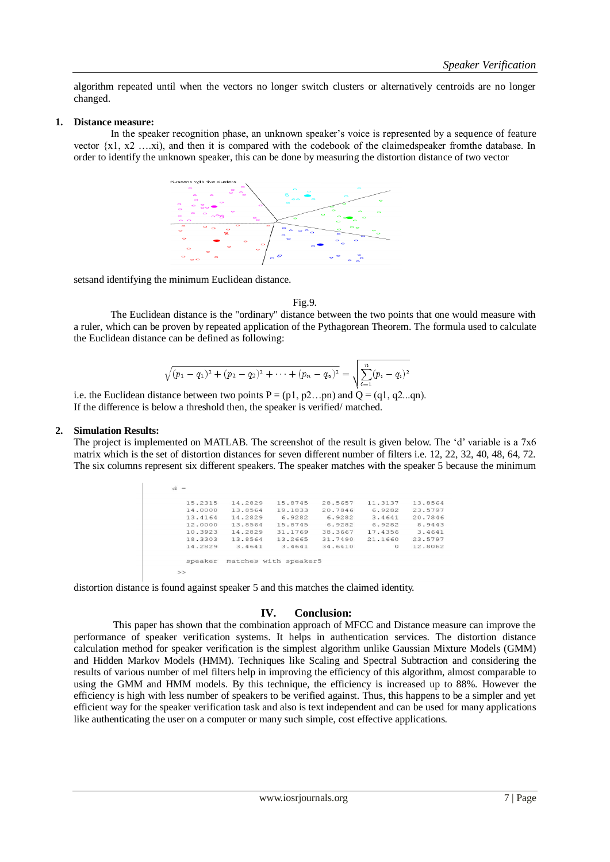algorithm repeated until when the vectors no longer switch clusters or alternatively centroids are no longer changed.

#### **1. Distance measure:**

In the speaker recognition phase, an unknown speaker's voice is represented by a sequence of feature vector {x1, x2 ….xi), and then it is compared with the codebook of the claimedspeaker fromthe database. In order to identify the unknown speaker, this can be done by measuring the distortion distance of two vector



setsand identifying the minimum Euclidean distance.

#### Fig.9.

The Euclidean distance is the "ordinary" distance between the two points that one would measure with a ruler, which can be proven by repeated application of the Pythagorean Theorem. The formula used to calculate the Euclidean distance can be defined as following:

$$
\sqrt{(p_1 - q_1)^2 + (p_2 - q_2)^2 + \dots + (p_n - q_n)^2} = \sqrt{\sum_{i=1}^n (p_i - q_i)^2}
$$

i.e. the Euclidean distance between two points  $P = (p1, p2...pn)$  and  $Q = (q1, q2...qn)$ . If the difference is below a threshold then, the speaker is verified/ matched.

## **2. Simulation Results:**

The project is implemented on MATLAB. The screenshot of the result is given below. The "d" variable is a 7x6 matrix which is the set of distortion distances for seven different number of filters i.e. 12, 22, 32, 40, 48, 64, 72. The six columns represent six different speakers. The speaker matches with the speaker 5 because the minimum

| 15.2315 | 14.2829 | 15.8745 | 28.5657 | 11,3137  | 13.8564 |
|---------|---------|---------|---------|----------|---------|
| 14,0000 | 13.8564 | 19.1833 | 20.7846 | 6.9282   | 23.5797 |
| 13.4164 | 14.2829 | 6.9282  | 6.9282  | 3.4641   | 20.7846 |
| 12,0000 | 13.8564 | 15.8745 | 6.9282  | 6.9282   | 8.9443  |
| 10.3923 | 14.2829 | 31.1769 | 38,3667 | 17.4356  | 3.4641  |
| 18.3303 | 13.8564 | 13.2665 | 31,7490 | 21.1660  | 23.5797 |
| 14.2829 | 3.4641  | 3.4641  | 34.6410 | $\Omega$ | 12.8062 |
|         |         |         |         |          |         |

distortion distance is found against speaker 5 and this matches the claimed identity.

## **IV. Conclusion:**

This paper has shown that the combination approach of MFCC and Distance measure can improve the performance of speaker verification systems. It helps in authentication services. The distortion distance calculation method for speaker verification is the simplest algorithm unlike Gaussian Mixture Models (GMM) and Hidden Markov Models (HMM). Techniques like Scaling and Spectral Subtraction and considering the results of various number of mel filters help in improving the efficiency of this algorithm, almost comparable to using the GMM and HMM models. By this technique, the efficiency is increased up to 88%. However the efficiency is high with less number of speakers to be verified against. Thus, this happens to be a simpler and yet efficient way for the speaker verification task and also is text independent and can be used for many applications like authenticating the user on a computer or many such simple, cost effective applications.